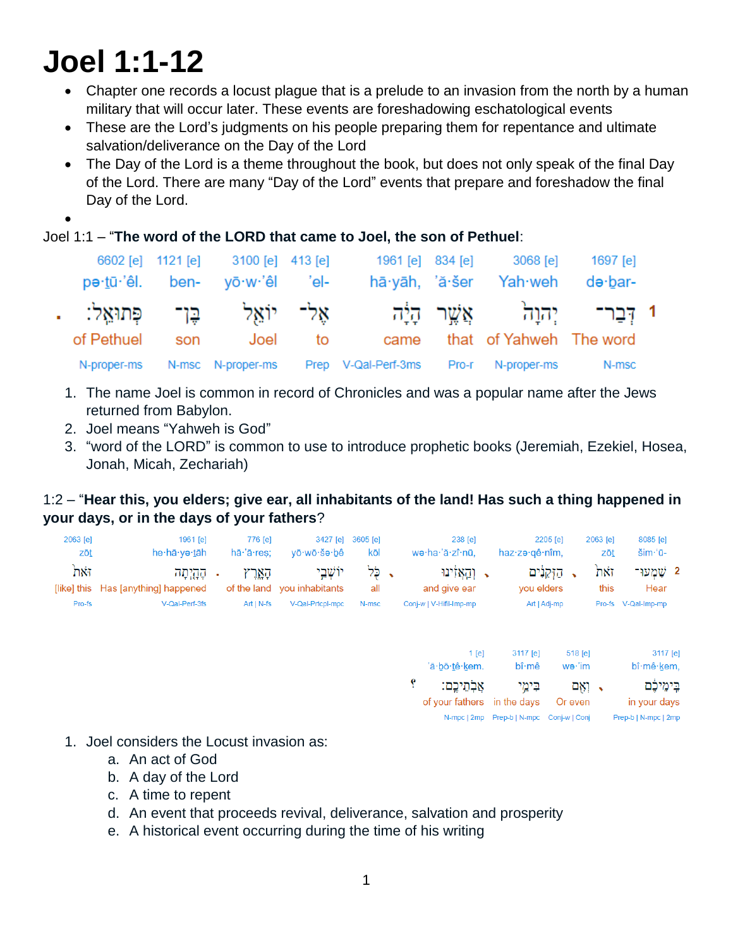# **Joel 1:1-12**

- Chapter one records a locust plague that is a prelude to an invasion from the north by a human military that will occur later. These events are foreshadowing eschatological events
- These are the Lord's judgments on his people preparing them for repentance and ultimate salvation/deliverance on the Day of the Lord
- The Day of the Lord is a theme throughout the book, but does not only speak of the final Day of the Lord. There are many "Day of the Lord" events that prepare and foreshadow the final Day of the Lord.
- $\bullet$

Joel 1:1 – "**The word of the LORD that came to Joel, the son of Pethuel**:

|                | 6602 [e] 1121 [e] 3100 [e] 413 [e]<br>pe·tū·'êl. ben- yō·w·'êl 'el- |         |                                                                     | 1961 [e] 834 [e] 3068 [e]<br>hā yāh, 'ă šer Yah weh de bar- | 1697 [e] |  |
|----------------|---------------------------------------------------------------------|---------|---------------------------------------------------------------------|-------------------------------------------------------------|----------|--|
|                |                                                                     |         | 1 דִּבַר־ יִהוַה אֲשֶׁר הָיָ֫ה אֶל־ יוֹאֵל בֶּן־ פְּתוּאֵל: .       |                                                             |          |  |
| of Pethuel son |                                                                     | Joel to |                                                                     | came that of Yahweh The word                                |          |  |
|                |                                                                     |         | N-proper-ms N-msc N-proper-ms Prep V-Qal-Perf-3ms Pro-r N-proper-ms |                                                             | N-msc    |  |

- 1. The name Joel is common in record of Chronicles and was a popular name after the Jews returned from Babylon.
- 2. Joel means "Yahweh is God"
- 3. "word of the LORD" is common to use to introduce prophetic books (Jeremiah, Ezekiel, Hosea, Jonah, Micah, Zechariah)

## 1:2 – "**Hear this, you elders; give ear, all inhabitants of the land! Has such a thing happened in your days, or in the days of your fathers**?

| $2063$ [e]<br>zōt | 1961 <b>[e]</b><br>he·hā·və·tāh                                       | 776 [e]<br>$h\bar{a}$ $\cdot$ a $r$ res: | vō∙wō∙šə∙bê                                                | 3427 [e] 3605 [e]<br>kōl | 238 [e]<br>we·ha·'ă·zî·nū.                                  | 2205 [e]<br>haz∙zə∙gê∙nîm.           | 2063 <b>[e]</b><br>zōt | 8085 [e]<br>$\mathsf{Sim}^{\mathsf{A}}$ u- |  |
|-------------------|-----------------------------------------------------------------------|------------------------------------------|------------------------------------------------------------|--------------------------|-------------------------------------------------------------|--------------------------------------|------------------------|--------------------------------------------|--|
| זאת.<br>Pro-fs    | - קַהָיִתָּה<br>[like] this Has [anything] happened<br>V-Qal-Perf-3fs | הארץ<br>$Art IN-fs$                      | יוֹשׁבי<br>of the land you inhabitants<br>V-Qal-Prtcpl-mpc | ג לל<br>all<br>N-msc     | ַ וְהַאֲזִינוּ ,<br>and give ear<br>Conj-w   V-Hifil-Imp-mp | הזקנים<br>you elders<br>Art   Adj-mp | זאת<br>this            | 2 שמעו<br>Hear<br>Pro-fs V-Qal-Imp-mp      |  |

|    | $1$ [e]<br>'ă·bō·tê·kem.    | 3117 [e]<br>$b\hat{\mathbf{i}}\cdot\hat{\mathbf{m}}\hat{\mathbf{e}}$ | 518 [e]<br>$w$ ə·'im | 3117 [e]<br>bî·mê·kem, |
|----|-----------------------------|----------------------------------------------------------------------|----------------------|------------------------|
| Ÿ. | אֲלְחֵיכֵם:                 | בימי                                                                 | → ואם                | בֵימֵיכֶּם             |
|    | of your fathers in the days |                                                                      | Or even              | in your days           |
|    |                             |                                                                      |                      | Prep-b   N-mpc   2mp   |

- 1. Joel considers the Locust invasion as:
	- a. An act of God
	- b. A day of the Lord
	- c. A time to repent
	- d. An event that proceeds revival, deliverance, salvation and prosperity
	- e. A historical event occurring during the time of his writing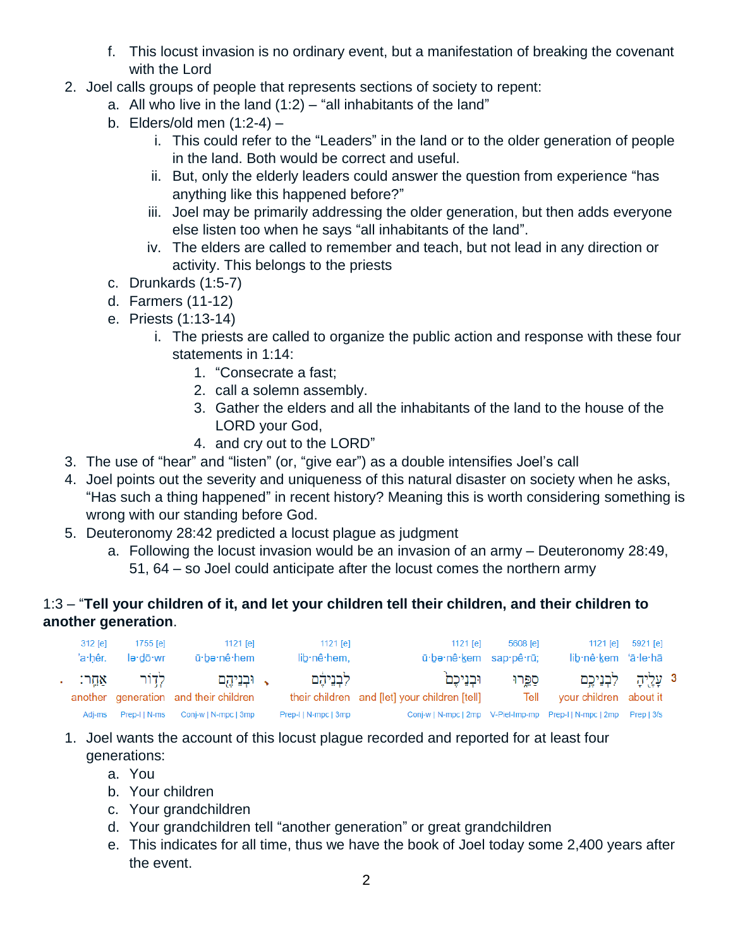- f. This locust invasion is no ordinary event, but a manifestation of breaking the covenant with the Lord
- 2. Joel calls groups of people that represents sections of society to repent:
	- a. All who live in the land  $(1:2)$  "all inhabitants of the land"
	- b. Elders/old men (1:2-4)
		- i. This could refer to the "Leaders" in the land or to the older generation of people in the land. Both would be correct and useful.
		- ii. But, only the elderly leaders could answer the question from experience "has anything like this happened before?"
		- iii. Joel may be primarily addressing the older generation, but then adds everyone else listen too when he says "all inhabitants of the land".
		- iv. The elders are called to remember and teach, but not lead in any direction or activity. This belongs to the priests
	- c. Drunkards (1:5-7)
	- d. Farmers (11-12)
	- e. Priests (1:13-14)
		- i. The priests are called to organize the public action and response with these four statements in 1:14:
			- 1. "Consecrate a fast;
			- 2. call a solemn assembly.
			- 3. Gather the elders and all the inhabitants of the land to the house of the LORD your God,
			- 4. and cry out to the LORD"
- 3. The use of "hear" and "listen" (or, "give ear") as a double intensifies Joel's call
- 4. Joel points out the severity and uniqueness of this natural disaster on society when he asks, "Has such a thing happened" in recent history? Meaning this is worth considering something is wrong with our standing before God.
- 5. Deuteronomy 28:42 predicted a locust plague as judgment
	- a. Following the locust invasion would be an invasion of an army Deuteronomy 28:49, 51, 64 – so Joel could anticipate after the locust comes the northern army

## 1:3 – "**Tell your children of it, and let your children tell their children, and their children to another generation**.

| $312$ [e]<br>'a∙hêr. | 1755 [e]<br>lə·dō·wr | 1121 [e]<br>ū∙bə∙nê∙hem                               | 1121 [e]<br>lib·nê·hem, | 1121 [e]<br>ū be nê kem sap pê rū;                                 | 5608 [e] | 1121 [e]<br>lib·nê·kem 'ā·le·hā                                | 5921 [e] |  |
|----------------------|----------------------|-------------------------------------------------------|-------------------------|--------------------------------------------------------------------|----------|----------------------------------------------------------------|----------|--|
|                      | לְדוֹר אַחֱר: .      | √ וּבִנִיהֵם<br>another generation and their children | לִבְנֵיהָׁם             | וּבִנֵיכֵם<br>their children and [let] your children [tell]        | ספרו     | <sup>3</sup> עָלֻיהָ לִבְנֵיכֶם<br>Tell your children about it |          |  |
|                      |                      | Adj-ms Prep-I   N-ms Conj-w   N-mpc   3mp             | Prep-I   N-mpc   3mp    | Conj-w   N-mpc   2mp V-Piel-Imp-mp Prep-I   N-mpc   2mp Prep   3fs |          |                                                                |          |  |

- 1. Joel wants the account of this locust plague recorded and reported for at least four generations:
	- a. You
	- b. Your children
	- c. Your grandchildren
	- d. Your grandchildren tell "another generation" or great grandchildren
	- e. This indicates for all time, thus we have the book of Joel today some 2,400 years after the event.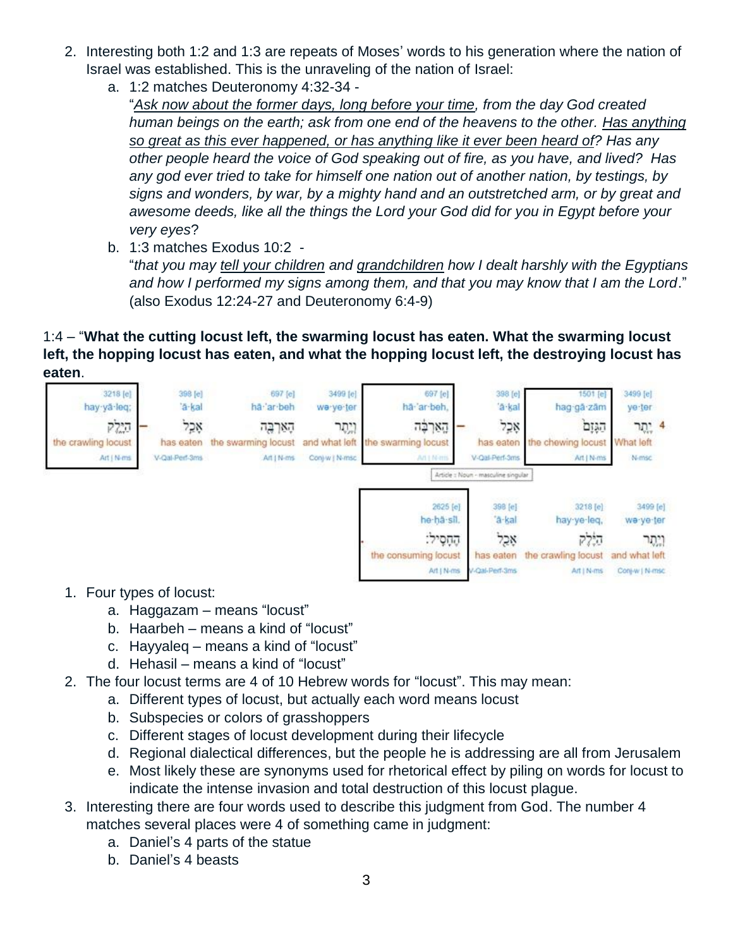- 2. Interesting both 1:2 and 1:3 are repeats of Moses' words to his generation where the nation of Israel was established. This is the unraveling of the nation of Israel:
	- a. 1:2 matches Deuteronomy 4:32-34 "*Ask now about the former days, long before your time, from the day God created human beings on the earth; ask from one end of the heavens to the other. Has anything so great as this ever happened, or has anything like it ever been heard of? Has any other people heard the voice of God speaking out of fire, as you have, and lived? Has any god ever tried to take for himself one nation out of another nation, by testings, by signs and wonders, by war, by a mighty hand and an outstretched arm, or by great and awesome deeds, like all the things the Lord your God did for you in Egypt before your very eyes*?
	- b. 1:3 matches Exodus 10:2 "*that you may tell your children and grandchildren how I dealt harshly with the Egyptians and how I performed my signs among them, and that you may know that I am the Lord*." (also Exodus 12:24-27 and Deuteronomy 6:4-9)

## 1:4 – "**What the cutting locust left, the swarming locust has eaten. What the swarming locust left, the hopping locust has eaten, and what the hopping locust left, the destroying locust has eaten**.



- 1. Four types of locust:
	- a. Haggazam means "locust"
	- b. Haarbeh means a kind of "locust"
	- c. Hayyaleq means a kind of "locust"
	- d. Hehasil means a kind of "locust"
- 2. The four locust terms are 4 of 10 Hebrew words for "locust". This may mean:
	- a. Different types of locust, but actually each word means locust
	- b. Subspecies or colors of grasshoppers
	- c. Different stages of locust development during their lifecycle
	- d. Regional dialectical differences, but the people he is addressing are all from Jerusalem
	- e. Most likely these are synonyms used for rhetorical effect by piling on words for locust to indicate the intense invasion and total destruction of this locust plague.
- 3. Interesting there are four words used to describe this judgment from God. The number 4 matches several places were 4 of something came in judgment:
	- a. Daniel's 4 parts of the statue
	- b. Daniel's 4 beasts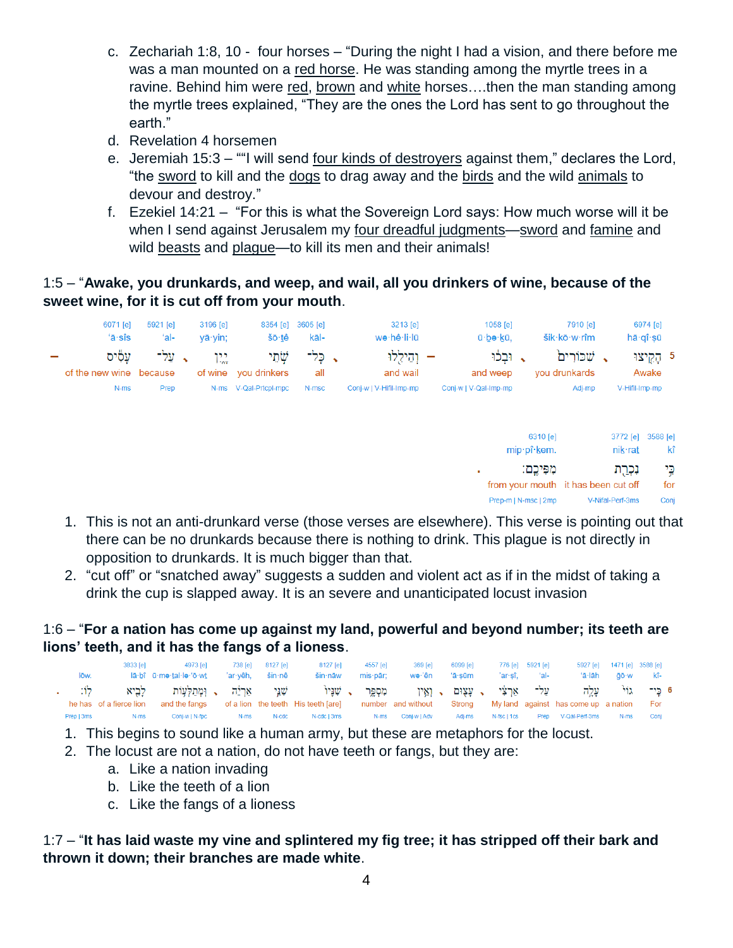- c. Zechariah 1:8, 10 four horses "During the night I had a vision, and there before me was a man mounted on a red horse. He was standing among the myrtle trees in a ravine. Behind him were red, brown and white horses….then the man standing among the myrtle trees explained, "They are the ones the Lord has sent to go throughout the earth."
- d. Revelation 4 horsemen
- e. Jeremiah 15:3 ""I will send four kinds of destroyers against them," declares the Lord, "the sword to kill and the dogs to drag away and the birds and the wild animals to devour and destroy."
- f. Ezekiel 14:21 "For this is what the Sovereign Lord says: How much worse will it be when I send against Jerusalem my four dreadful judgments—sword and famine and wild beasts and plague—to kill its men and their animals!

## 1:5 – "**Awake, you drunkards, and weep, and wail, all you drinkers of wine, because of the sweet wine, for it is cut off from your mouth**.



- 1. This is not an anti-drunkard verse (those verses are elsewhere). This verse is pointing out that there can be no drunkards because there is nothing to drink. This plague is not directly in opposition to drunkards. It is much bigger than that.
- 2. "cut off" or "snatched away" suggests a sudden and violent act as if in the midst of taking a drink the cup is slapped away. It is an severe and unanticipated locust invasion

## 1:6 – "**For a nation has come up against my land, powerful and beyond number; its teeth are lions' teeth, and it has the fangs of a lioness**.

| lōw.       | 3833 [e]                        | 4973 [e]<br>lā·bî ū·mə·tal·lə·'ō·wt              | 738 [e]<br>'ar·vêh. | 8127 [e]<br>šin∙nê | 8127 [e]<br>$sin \cdot n$ āw                    | 4557 [e]<br>mis <b>·</b> pār: | 369 [e]<br>wə·'ên  | 6099 [e]<br>'ā·sūm      | 'ar·sî.     | 776 [e] 5921 [e]<br>— 'al- | 'ā∙lāh                                          | 5927 [e] 1471 [e] 3588 [e]<br>āō∙w | kî-   |  |
|------------|---------------------------------|--------------------------------------------------|---------------------|--------------------|-------------------------------------------------|-------------------------------|--------------------|-------------------------|-------------|----------------------------|-------------------------------------------------|------------------------------------|-------|--|
|            | לביא<br>he has of a fierce lion | שִׁנֵּי אַרְיֵה , וְמְתַלְעָוֹת<br>and the fangs |                     |                    | י שניו -<br>of a lion the teeth His teeth [are] | מספר                          | number and without | עצום , ואיז ,<br>Strong |             | עַל־ אַרִצִּי              | עלה<br>My land against has come up a nation For | ካኒነ                                | 6 כי־ |  |
| Prep   3ms | N-ms                            | Conj-w   N-fpc                                   | N-ms                | N-cdc              | N-cdc   3ms                                     | $N$ -ms                       | Coni-w I Adv       | Adi-ms                  | N-fsc   1cs | Prep                       | V-Qal-Perf-3ms                                  | N-ms                               | Coni  |  |

- 1. This begins to sound like a human army, but these are metaphors for the locust.
- 2. The locust are not a nation, do not have teeth or fangs, but they are:
	- a. Like a nation invading
	- b. Like the teeth of a lion
	- c. Like the fangs of a lioness

## 1:7 – "**It has laid waste my vine and splintered my fig tree; it has stripped off their bark and thrown it down; their branches are made white**.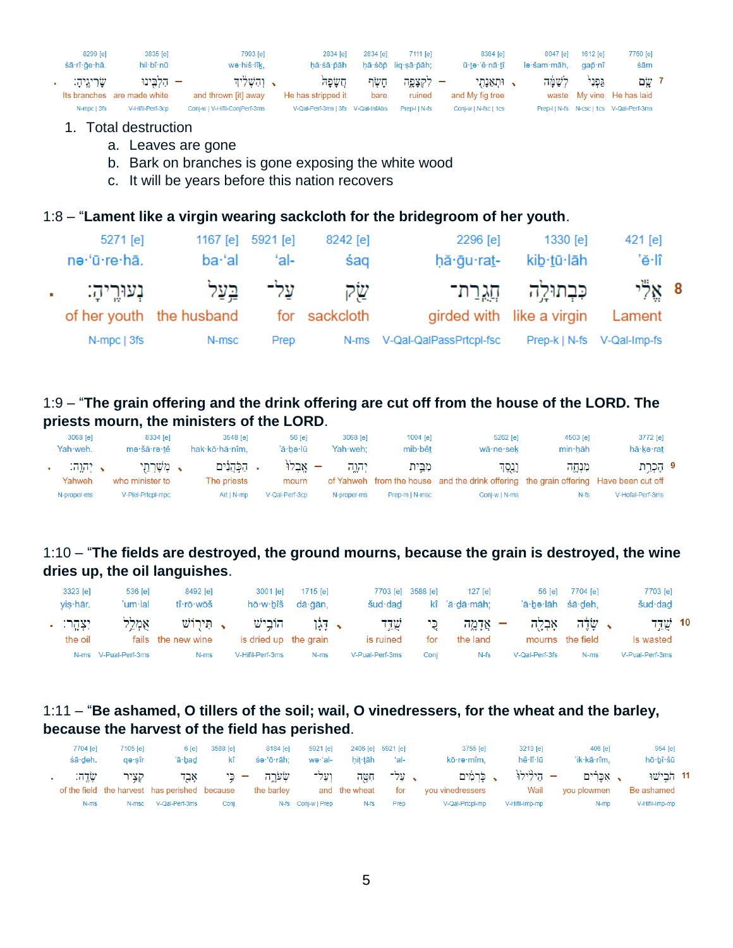| 8299 [e]<br>śā·rî·qe·hā. | 3835 [e]<br>hil·bî·nū                   | 7993 [e]<br>wə·hiš·lîk,                | 2834 [e]<br>hă∙śā∙ōāh              | 2834 <b>[e]</b> | 7111 <b>[e]</b><br>hā·śōp lig·sā·pāh; | 8384 [e]<br>ū·tə·'ê·nā·tî   | 8047 [e]<br>lə·šam·māh, | 1612 [e]<br>qap̃∙nî | 7760 [e]<br>śām                          |  |
|--------------------------|-----------------------------------------|----------------------------------------|------------------------------------|-----------------|---------------------------------------|-----------------------------|-------------------------|---------------------|------------------------------------------|--|
| שריגיה:                  | – הלבינו<br>Its branches are made white | רהשליד $\cdot$<br>and thrown [it] away | חשפה<br>He has stripped it         | חשר<br>bare     | – לקצפה<br>ruined                     | . ותאנתי<br>and My fig tree | לשמה                    | גפני                | י שם<br>waste My vine He has laid        |  |
| N-mpc   3fs              | V-Hifil-Perf-3cp                        | Conj-w   V-Hifil-ConjPerf-3ms          | V-Qal-Perf-3ms   3fs  V-Qal-InfAbs |                 | Prep-IIN-fs                           | Conj-w   N-fsc   1cs        |                         |                     | Prep-I   N-fs N-csc   1cs V-Qal-Perf-3ms |  |

#### 1. Total destruction

- a. Leaves are gone
- b. Bark on branches is gone exposing the white wood
- c. It will be years before this nation recovers

#### 1:8 – "**Lament like a virgin wearing sackcloth for the bridegroom of her youth**.

|        | 5271 [e]     |                                        | 1167 [e] 5921 [e] | 8242 [e] | 2296 [e]                     | 1330 [e]                                                 | 421 [e]                    |  |
|--------|--------------|----------------------------------------|-------------------|----------|------------------------------|----------------------------------------------------------|----------------------------|--|
|        | ne·'ū·re·hā. | ba·'al                                 | 'al-              | śag      | hă∙ğu∙ra <u>t</u> -          | kib·tū·lāh                                               | 'ĕ·lî                      |  |
| $\sim$ | בִעוּרֵיהַ:  | of her youth the husband for sackcloth | עַל־ בֵעַל        | שׂק      |                              | כִּבְתוּלֵה חֲגֶרַת־<br>girded with like a virgin Lament | ిన్గ్ 8                    |  |
|        | N-mpc   3fs  | N-msc                                  | Prep              |          | N-ms V-Qal-QalPassPrtcpl-fsc |                                                          | Prep-k   N-fs V-Qal-Imp-fs |  |

## 1:9 – "**The grain offering and the drink offering are cut off from the house of the LORD. The priests mourn, the ministers of the LORD**.

| 3068 [e]<br>Yah·weh. | 8334 [e]<br>me·šā·re·tê         | 3548 [e]<br>hak·kō·hă·nîm.   | $56$ [e]<br>'ā·bə·lū | 3068 [e]<br>Yah weh: | $1004$ [e]<br>mib bêt | $5262$ [e]<br>wā·ne·sek                                                                         | 4503 [e]<br>min hāh | 3772 [e]<br>hā·kə·rat |  |
|----------------------|---------------------------------|------------------------------|----------------------|----------------------|-----------------------|-------------------------------------------------------------------------------------------------|---------------------|-----------------------|--|
| א יהוה:<br>Yahweh    | √ מִשָׁרְהֵי<br>who minister to | . הַכְּהֲנִים<br>The priests | – אבלו<br>mourn      | יהוה                 | מבית                  | וְנֵסֶד<br>of Yahweh from the house and the drink offering the grain offering Have been cut off | מנחה                | 9 קַכְרַת             |  |
| N-proper-ms          | V-Piel-Prtcpl-mpc               | $Art IN-mp$                  | V-Qal-Perf-3cp       | N-proper-ms          | Prep-m   N-msc        | Coni-w   N-ms                                                                                   | $N-fs$              | V-Hofal-Perf-3ms      |  |

## 1:10 – "**The fields are destroyed, the ground mourns, because the grain is destroyed, the wine dries up, the oil languishes**.

| 3323 [e]<br>$vis$ har. | 536 [e]<br>'um·lal   | 8492 [e]<br>tî rō wōš             | 3001 [e]<br>hō∙w∙bîš             | 1715 [e]<br>dā·āān. | šud∙dad          | 7703 [e] 3588 [e] | $127$ $rel$<br>kî 'ă·dā·māh: | 56 <b>[e]</b><br>'ā·be·lāh śā·deh, | 7704 [e]                                  | 7703 [e]<br>šud∙dad                         |  |
|------------------------|----------------------|-----------------------------------|----------------------------------|---------------------|------------------|-------------------|------------------------------|------------------------------------|-------------------------------------------|---------------------------------------------|--|
| יִצְהֵר: .<br>the oil  | אמלל                 | . תִּירוֹשׁ<br>fails the new wine | הוֹבישׁ<br>is dried up the grain | ּ דַּגֹן            | שדד<br>is ruined | בי<br>for         | – אַדמַה<br>the land         | אבלה                               | י שׂלֶה <sup>יי</sup><br>mourns the field | 10 $\frac{1}{2}$ $\frac{1}{2}$<br>Is wasted |  |
|                        | N-ms V-Pual-Perf-3ms | N-ms                              | V-Hifil-Perf-3ms                 | N-ms                | V-Pual-Perf-3ms  | Coni              | $N-fs$                       | V-Qal-Perf-3fs                     | N-ms                                      | V-Pual-Perf-3ms                             |  |

#### 1:11 – "**Be ashamed, O tillers of the soil; wail, O vinedressers, for the wheat and the barley, because the harvest of the field has perished**.

| 954 [e]<br>hō∙bî∙šū          | 406 fel<br>'ik·kā·rîm.                | 3213 [e]<br>hê∙lî∙lū | 3755 lel<br>kō∙rə∙mîm.                                   | — 'al- | 2406 [e] 5921 [e]<br>hit∙tāh | $5921$ [e]<br>wə·'al- | 8184 [e]<br>śə∙'ō∙rāh:                                   | 6 [e] 3588 [e]<br>– kî | 'ā·bad               | 7105 lel<br>ae sîr | 7704 [e]<br>śā∙deh. |
|------------------------------|---------------------------------------|----------------------|----------------------------------------------------------|--------|------------------------------|-----------------------|----------------------------------------------------------|------------------------|----------------------|--------------------|---------------------|
| 11 הבישו                     | , אכרים – הילילו <sup>ן</sup> , כרמים |                      |                                                          |        |                              |                       | על־ חִטָּה וְעַל־ שְׂעֹרֶה – בִּי אָבֵד $\pm$            |                        |                      | קציר ו             | שדה:                |
| Be ashamed<br>V-Hifil-Imp-mp | N-mp                                  | V-Hifil-Imp-mp       | for you vinedressers wail you plowmen<br>V-Qal-Prtcpl-mp | Prep   | and the wheat<br>N-fs        | N-fs Conj-w   Prep    | of the field the harvest has perished because the barley | Conj                   | N-msc V-Qal-Perf-3ms |                    | N-ms                |